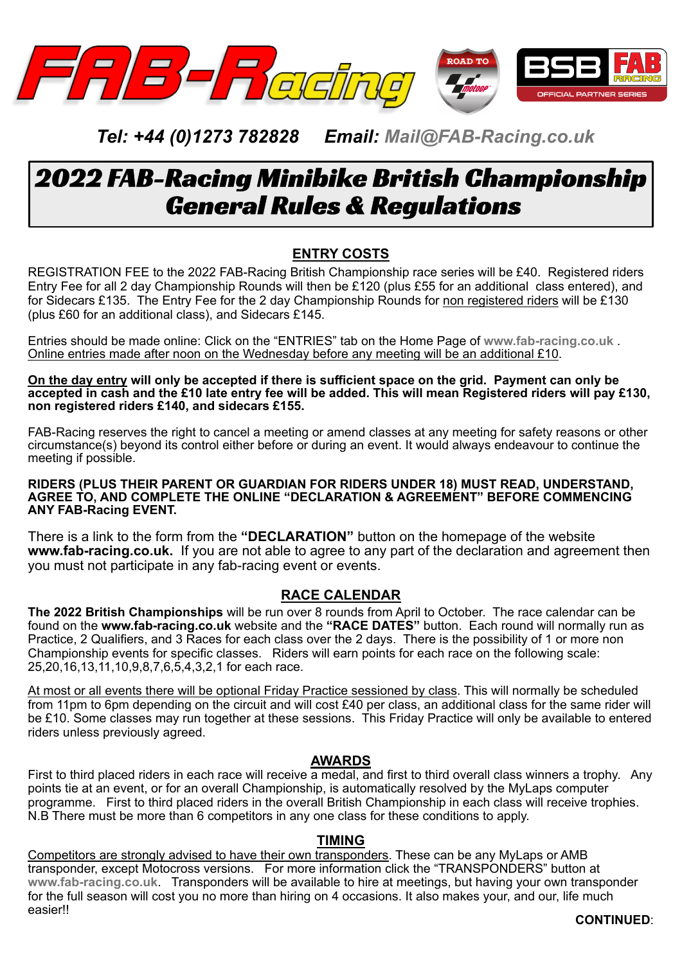

# *Tel: +44 (0)1273 782828 Email: Mail@FAB-Racing.co.uk*

# 2022 FAB-Racing Minibike British Championship General Rules & Regulations

# **ENTRY COSTS**

REGISTRATION FEE to the 2022 FAB-Racing British Championship race series will be £40. Registered riders Entry Fee for all 2 day Championship Rounds will then be £120 (plus £55 for an additional class entered), and for Sidecars £135. The Entry Fee for the 2 day Championship Rounds for non registered riders will be £130 (plus £60 for an additional class), and Sidecars £145.

Entries should be made online: Click on the "ENTRIES" tab on the Home Page of **www.fab-racing.co.uk** . Online entries made after noon on the Wednesday before any meeting will be an additional £10.

**On the day entry will only be accepted if there is sufficient space on the grid. Payment can only be accepted in cash and the £10 late entry fee will be added. This will mean Registered riders will pay £130, non registered riders £140, and sidecars £155.**

FAB-Racing reserves the right to cancel a meeting or amend classes at any meeting for safety reasons or other circumstance(s) beyond its control either before or during an event. It would always endeavour to continue the meeting if possible.

#### **RIDERS (PLUS THEIR PARENT OR GUARDIAN FOR RIDERS UNDER 18) MUST READ, UNDERSTAND, AGREE TO, AND COMPLETE THE ONLINE "DECLARATION & AGREEMENT" BEFORE COMMENCING ANY FAB-Racing EVENT.**

There is a link to the form from the **"DECLARATION"** button on the homepage of the website **www.fab-racing.co.uk.** If you are not able to agree to any part of the declaration and agreement then you must not participate in any fab-racing event or events.

#### **RACE CALENDAR**

**The 2022 British Championships** will be run over 8 rounds from April to October. The race calendar can be found on the **www.fab-racing.co.uk** website and the **"RACE DATES"** button. Each round will normally run as Practice, 2 Qualifiers, and 3 Races for each class over the 2 days. There is the possibility of 1 or more non Championship events for specific classes. Riders will earn points for each race on the following scale: 25,20,16,13,11,10,9,8,7,6,5,4,3,2,1 for each race.

At most or all events there will be optional Friday Practice sessioned by class. This will normally be scheduled from 11pm to 6pm depending on the circuit and will cost £40 per class, an additional class for the same rider will be £10. Some classes may run together at these sessions. This Friday Practice will only be available to entered riders unless previously agreed.

#### **AWARDS**

First to third placed riders in each race will receive a medal, and first to third overall class winners a trophy. Any points tie at an event, or for an overall Championship, is automatically resolved by the MyLaps computer programme. First to third placed riders in the overall British Championship in each class will receive trophies. N.B There must be more than 6 competitors in any one class for these conditions to apply.

#### **TIMING**

Competitors are strongly advised to have their own transponders. These can be any MyLaps or AMB transponder, except Motocross versions. For more information click the "TRANSPONDERS" button at **www.fab-racing.co.uk**. Transponders will be available to hire at meetings, but having your own transponder for the full season will cost you no more than hiring on 4 occasions. It also makes your, and our, life much easier!!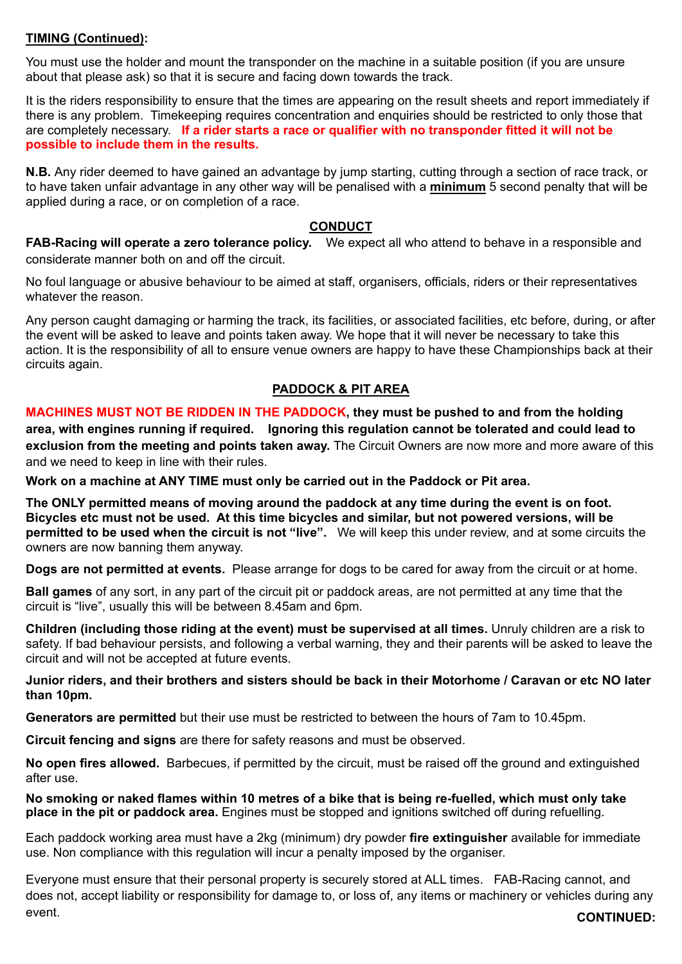#### **TIMING (Continued):**

You must use the holder and mount the transponder on the machine in a suitable position (if you are unsure about that please ask) so that it is secure and facing down towards the track.

It is the riders responsibility to ensure that the times are appearing on the result sheets and report immediately if there is any problem. Timekeeping requires concentration and enquiries should be restricted to only those that are completely necessary. **If a rider starts a race or qualifier with no transponder fitted it will not be possible to include them in the results.**

**N.B.** Any rider deemed to have gained an advantage by jump starting, cutting through a section of race track, or to have taken unfair advantage in any other way will be penalised with a **minimum** 5 second penalty that will be applied during a race, or on completion of a race.

#### **CONDUCT**

**FAB-Racing will operate a zero tolerance policy.** We expect all who attend to behave in a responsible and considerate manner both on and off the circuit.

No foul language or abusive behaviour to be aimed at staff, organisers, officials, riders or their representatives whatever the reason.

Any person caught damaging or harming the track, its facilities, or associated facilities, etc before, during, or after the event will be asked to leave and points taken away. We hope that it will never be necessary to take this action. It is the responsibility of all to ensure venue owners are happy to have these Championships back at their circuits again.

#### **PADDOCK & PIT AREA**

**MACHINES MUST NOT BE RIDDEN IN THE PADDOCK, they must be pushed to and from the holding area, with engines running if required. Ignoring this regulation cannot be tolerated and could lead to exclusion from the meeting and points taken away.** The Circuit Owners are now more and more aware of this and we need to keep in line with their rules.

**Work on a machine at ANY TIME must only be carried out in the Paddock or Pit area.**

**The ONLY permitted means of moving around the paddock at any time during the event is on foot. Bicycles etc must not be used. At this time bicycles and similar, but not powered versions, will be permitted to be used when the circuit is not "live".** We will keep this under review, and at some circuits the owners are now banning them anyway.

**Dogs are not permitted at events.** Please arrange for dogs to be cared for away from the circuit or at home.

**Ball games** of any sort, in any part of the circuit pit or paddock areas, are not permitted at any time that the circuit is "live", usually this will be between 8.45am and 6pm.

**Children (including those riding at the event) must be supervised at all times.** Unruly children are a risk to safety. If bad behaviour persists, and following a verbal warning, they and their parents will be asked to leave the circuit and will not be accepted at future events.

**Junior riders, and their brothers and sisters should be back in their Motorhome / Caravan or etc NO later than 10pm.**

**Generators are permitted** but their use must be restricted to between the hours of 7am to 10.45pm.

**Circuit fencing and signs** are there for safety reasons and must be observed.

**No open fires allowed.** Barbecues, if permitted by the circuit, must be raised off the ground and extinguished after use.

**No smoking or naked flames within 10 metres of a bike that is being re-fuelled, which must only take place in the pit or paddock area.** Engines must be stopped and ignitions switched off during refuelling.

Each paddock working area must have a 2kg (minimum) dry powder **fire extinguisher** available for immediate use. Non compliance with this regulation will incur a penalty imposed by the organiser.

Everyone must ensure that their personal property is securely stored at ALL times. FAB-Racing cannot, and does not, accept liability or responsibility for damage to, or loss of, any items or machinery or vehicles during any event. **CONTINUED:**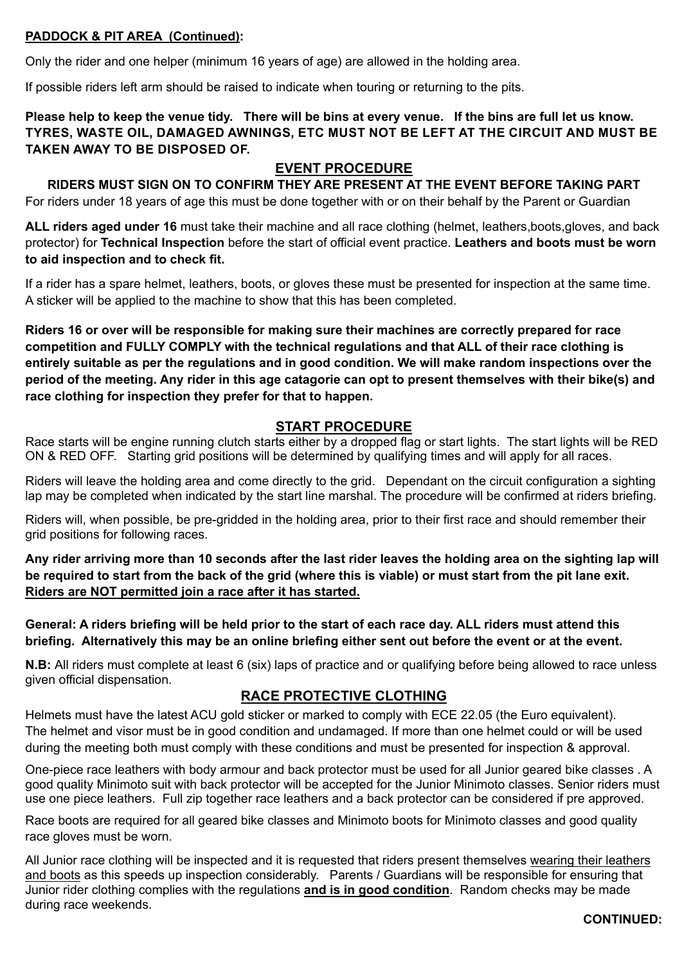#### **PADDOCK & PIT AREA (Continued):**

Only the rider and one helper (minimum 16 years of age) are allowed in the holding area.

If possible riders left arm should be raised to indicate when touring or returning to the pits.

**Please help to keep the venue tidy. There will be bins at every venue. If the bins are full let us know. TYRES, WASTE OIL, DAMAGED AWNINGS, ETC MUST NOT BE LEFT AT THE CIRCUIT AND MUST BE TAKEN AWAY TO BE DISPOSED OF.**

#### **EVENT PROCEDURE**

**RIDERS MUST SIGN ON TO CONFIRM THEY ARE PRESENT AT THE EVENT BEFORE TAKING PART** For riders under 18 years of age this must be done together with or on their behalf by the Parent or Guardian

**ALL riders aged under 16** must take their machine and all race clothing (helmet, leathers,boots,gloves, and back protector) for **Technical Inspection** before the start of official event practice. **Leathers and boots must be worn to aid inspection and to check fit.**

If a rider has a spare helmet, leathers, boots, or gloves these must be presented for inspection at the same time. A sticker will be applied to the machine to show that this has been completed.

**Riders 16 or over will be responsible for making sure their machines are correctly prepared for race competition and FULLY COMPLY with the technical regulations and that ALL of their race clothing is entirely suitable as per the regulations and in good condition. We will make random inspections over the period of the meeting. Any rider in this age catagorie can opt to present themselves with their bike(s) and race clothing for inspection they prefer for that to happen.**

#### **START PROCEDURE**

Race starts will be engine running clutch starts either by a dropped flag or start lights. The start lights will be RED ON & RED OFF. Starting grid positions will be determined by qualifying times and will apply for all races.

Riders will leave the holding area and come directly to the grid. Dependant on the circuit configuration a sighting lap may be completed when indicated by the start line marshal. The procedure will be confirmed at riders briefing.

Riders will, when possible, be pre-gridded in the holding area, prior to their first race and should remember their grid positions for following races.

**Any rider arriving more than 10 seconds after the last rider leaves the holding area on the sighting lap will be required to start from the back of the grid (where this is viable) or must start from the pit lane exit. Riders are NOT permitted join a race after it has started.**

**General: A riders briefing will be held prior to the start of each race day. ALL riders must attend this briefing. Alternatively this may be an online briefing either sent out before the event or at the event.**

**N.B:** All riders must complete at least 6 (six) laps of practice and or qualifying before being allowed to race unless given official dispensation.

#### **RACE PROTECTIVE CLOTHING**

Helmets must have the latest ACU gold sticker or marked to comply with ECE 22.05 (the Euro equivalent). The helmet and visor must be in good condition and undamaged. If more than one helmet could or will be used during the meeting both must comply with these conditions and must be presented for inspection & approval.

One-piece race leathers with body armour and back protector must be used for all Junior geared bike classes . A good quality Minimoto suit with back protector will be accepted for the Junior Minimoto classes. Senior riders must use one piece leathers. Full zip together race leathers and a back protector can be considered if pre approved.

Race boots are required for all geared bike classes and Minimoto boots for Minimoto classes and good quality race gloves must be worn.

All Junior race clothing will be inspected and it is requested that riders present themselves wearing their leathers and boots as this speeds up inspection considerably. Parents / Guardians will be responsible for ensuring that Junior rider clothing complies with the regulations **and is in good condition**. Random checks may be made during race weekends.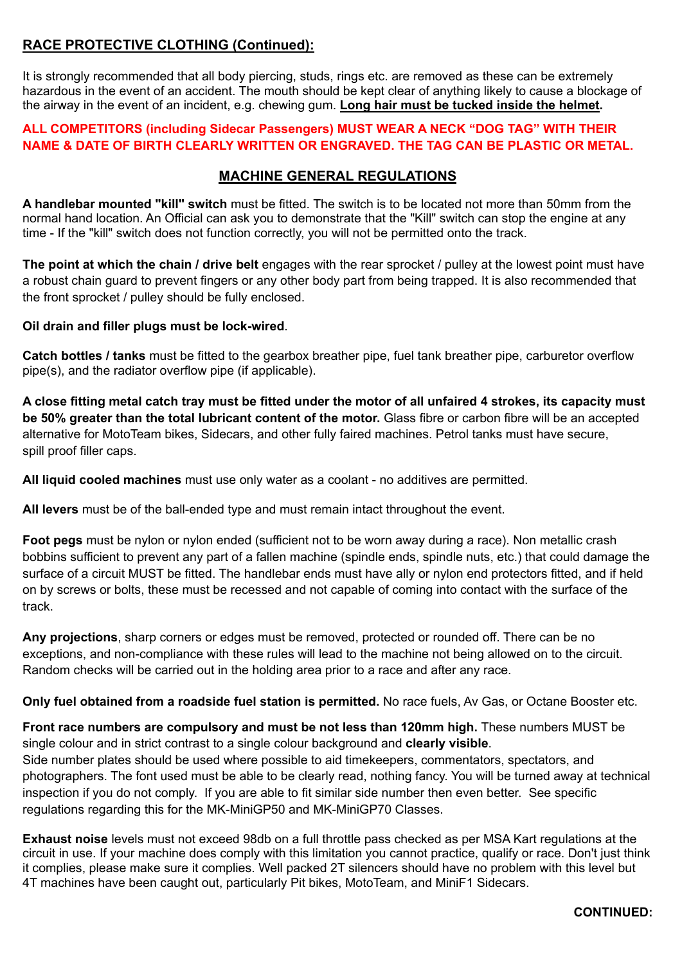## **RACE PROTECTIVE CLOTHING (Continued):**

It is strongly recommended that all body piercing, studs, rings etc. are removed as these can be extremely hazardous in the event of an accident. The mouth should be kept clear of anything likely to cause a blockage of the airway in the event of an incident, e.g. chewing gum. **Long hair must be tucked inside the helmet.**

#### **ALL COMPETITORS (including Sidecar Passengers) MUST WEAR A NECK "DOG TAG" WITH THEIR NAME & DATE OF BIRTH CLEARLY WRITTEN OR ENGRAVED. THE TAG CAN BE PLASTIC OR METAL.**

### **MACHINE GENERAL REGULATIONS**

**A handlebar mounted "kill" switch** must be fitted. The switch is to be located not more than 50mm from the normal hand location. An Official can ask you to demonstrate that the "Kill" switch can stop the engine at any time - If the "kill" switch does not function correctly, you will not be permitted onto the track.

**The point at which the chain / drive belt** engages with the rear sprocket / pulley at the lowest point must have a robust chain guard to prevent fingers or any other body part from being trapped. It is also recommended that the front sprocket / pulley should be fully enclosed.

**Oil drain and filler plugs must be lock-wired**.

**Catch bottles / tanks** must be fitted to the gearbox breather pipe, fuel tank breather pipe, carburetor overflow pipe(s), and the radiator overflow pipe (if applicable).

**A close fitting metal catch tray must be fitted under the motor of all unfaired 4 strokes, its capacity must be 50% greater than the total lubricant content of the motor.** Glass fibre or carbon fibre will be an accepted alternative for MotoTeam bikes, Sidecars, and other fully faired machines. Petrol tanks must have secure, spill proof filler caps.

**All liquid cooled machines** must use only water as a coolant - no additives are permitted.

**All levers** must be of the ball-ended type and must remain intact throughout the event.

**Foot pegs** must be nylon or nylon ended (sufficient not to be worn away during a race). Non metallic crash bobbins sufficient to prevent any part of a fallen machine (spindle ends, spindle nuts, etc.) that could damage the surface of a circuit MUST be fitted. The handlebar ends must have ally or nylon end protectors fitted, and if held on by screws or bolts, these must be recessed and not capable of coming into contact with the surface of the track.

**Any projections**, sharp corners or edges must be removed, protected or rounded off. There can be no exceptions, and non-compliance with these rules will lead to the machine not being allowed on to the circuit. Random checks will be carried out in the holding area prior to a race and after any race.

**Only fuel obtained from a roadside fuel station is permitted.** No race fuels, Av Gas, or Octane Booster etc.

**Front race numbers are compulsory and must be not less than 120mm high.** These numbers MUST be single colour and in strict contrast to a single colour background and **clearly visible**.

Side number plates should be used where possible to aid timekeepers, commentators, spectators, and photographers. The font used must be able to be clearly read, nothing fancy. You will be turned away at technical inspection if you do not comply. If you are able to fit similar side number then even better. See specific regulations regarding this for the MK-MiniGP50 and MK-MiniGP70 Classes.

**Exhaust noise** levels must not exceed 98db on a full throttle pass checked as per MSA Kart regulations at the circuit in use. If your machine does comply with this limitation you cannot practice, qualify or race. Don't just think it complies, please make sure it complies. Well packed 2T silencers should have no problem with this level but 4T machines have been caught out, particularly Pit bikes, MotoTeam, and MiniF1 Sidecars.